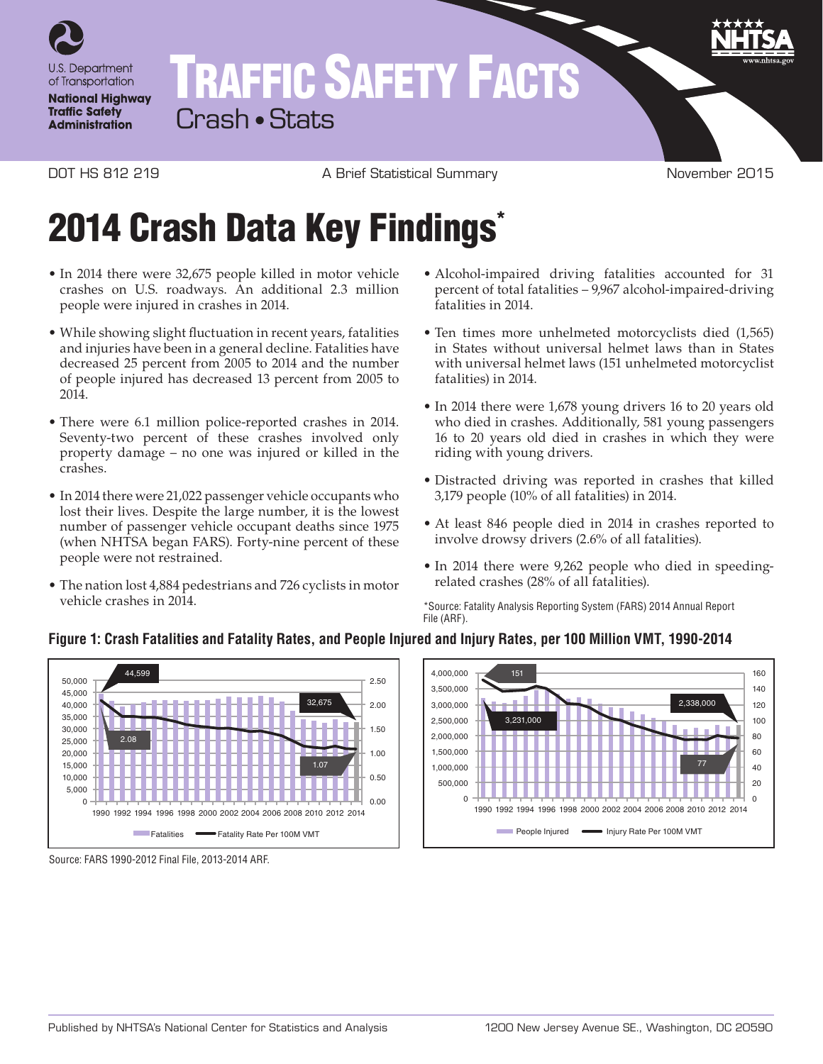

# TRAFFIC SAFETY FACTS

Crash • Stats

DOT HS 812 219 **A Brief Statistical Summary CONTAGE A** Brief Statistical Summary **November 2015** 

## 2014 Crash Data Key Findings<sup>\*</sup>

- In 2014 there were 32,675 people killed in motor vehicle crashes on U.S. roadways. An additional 2.3 million people were injured in crashes in 2014.
- While showing slight fluctuation in recent years, fatalities and injuries have been in a general decline. Fatalities have decreased 25 percent from 2005 to 2014 and the number of people injured has decreased 13 percent from 2005 to 2014.
- There were 6.1 million police-reported crashes in 2014. Seventy-two percent of these crashes involved only property damage – no one was injured or killed in the crashes.
- In 2014 there were 21,022 passenger vehicle occupants who lost their lives. Despite the large number, it is the lowest number of passenger vehicle occupant deaths since 1975 (when NHTSA began FARS). Forty-nine percent of these people were not restrained.
- The nation lost 4,884 pedestrians and 726 cyclists in motor vehicle crashes in 2014.
- Alcohol-impaired driving fatalities accounted for 31 percent of total fatalities – 9,967 alcohol-impaired-driving fatalities in 2014.
- Ten times more unhelmeted motorcyclists died (1,565) in States without universal helmet laws than in States with universal helmet laws (151 unhelmeted motorcyclist fatalities) in 2014.
- In 2014 there were 1,678 young drivers 16 to 20 years old who died in crashes. Additionally, 581 young passengers 16 to 20 years old died in crashes in which they were riding with young drivers.
- Distracted driving was reported in crashes that killed 3,179 people (10% of all fatalities) in 2014.
- At least 846 people died in 2014 in crashes reported to involve drowsy drivers (2.6% of all fatalities).
- In 2014 there were 9,262 people who died in speedingrelated crashes (28% of all fatalities).

\*Source: Fatality Analysis Reporting System (FARS) 2014 Annual Report File (ARF).



#### **Figure 1: Crash Fatalities and Fatality Rates, and People Injured and Injury Rates, per 100 Million VMT, 1990-2014**

Source: FARS 1990-2012 Final File, 2013-2014 ARF.